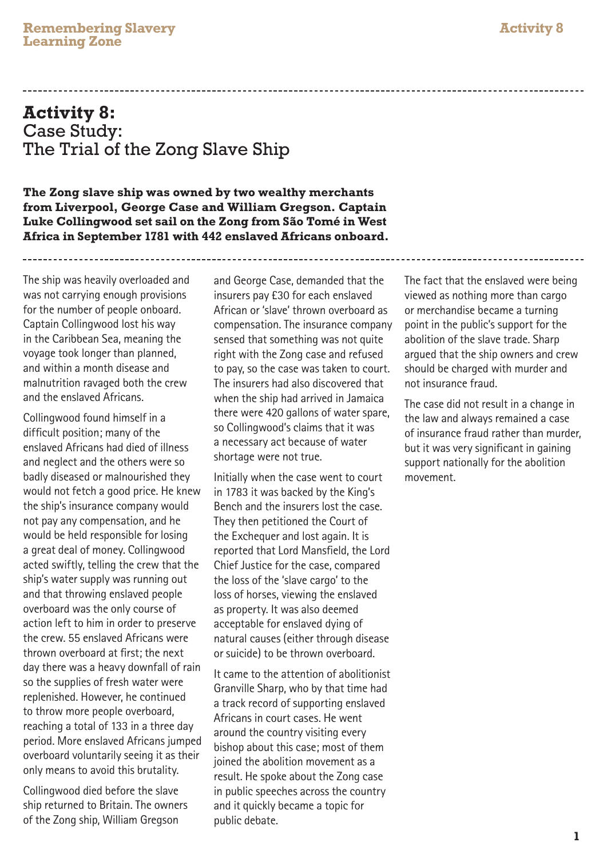## **Activity 8:** Case Study: The Trial of the Zong Slave Ship

**The Zong slave ship was owned by two wealthy merchants from Liverpool, George Case and William Gregson. Captain**  Luke Collingwood set sail on the Zong from São Tomé in West **Africa in September 1781 with 442 enslaved Africans onboard.** 

The ship was heavily overloaded and was not carrying enough provisions for the number of people onboard. Captain Collingwood lost his way in the Caribbean Sea, meaning the voyage took longer than planned, and within a month disease and malnutrition ravaged both the crew and the enslaved Africans.

Collingwood found himself in a difficult position; many of the enslaved Africans had died of illness and neglect and the others were so badly diseased or malnourished they would not fetch a good price. He knew the ship's insurance company would not pay any compensation, and he would be held responsible for losing a great deal of money. Collingwood acted swiftly, telling the crew that the ship's water supply was running out and that throwing enslaved people overboard was the only course of action left to him in order to preserve the crew. 55 enslaved Africans were thrown overboard at first; the next day there was a heavy downfall of rain so the supplies of fresh water were replenished. However, he continued to throw more people overboard, reaching a total of 133 in a three day period. More enslaved Africans jumped overboard voluntarily seeing it as their only means to avoid this brutality.

Collingwood died before the slave ship returned to Britain. The owners of the Zong ship, William Gregson

and George Case, demanded that the insurers pay £30 for each enslaved African or 'slave' thrown overboard as compensation. The insurance company sensed that something was not quite right with the Zong case and refused to pay, so the case was taken to court. The insurers had also discovered that when the ship had arrived in Jamaica there were 420 gallons of water spare, so Collingwood's claims that it was a necessary act because of water shortage were not true.

Initially when the case went to court in 1783 it was backed by the King's Bench and the insurers lost the case. They then petitioned the Court of the Exchequer and lost again. It is reported that Lord Mansfield, the Lord Chief Justice for the case, compared the loss of the 'slave cargo' to the loss of horses, viewing the enslaved as property. It was also deemed acceptable for enslaved dying of natural causes (either through disease or suicide) to be thrown overboard.

It came to the attention of abolitionist Granville Sharp, who by that time had a track record of supporting enslaved Africans in court cases. He went around the country visiting every bishop about this case; most of them joined the abolition movement as a result. He spoke about the Zong case in public speeches across the country and it quickly became a topic for public debate.

The fact that the enslaved were being viewed as nothing more than cargo or merchandise became a turning point in the public's support for the abolition of the slave trade. Sharp argued that the ship owners and crew should be charged with murder and not insurance fraud.

The case did not result in a change in the law and always remained a case of insurance fraud rather than murder, but it was very significant in gaining support nationally for the abolition movement.